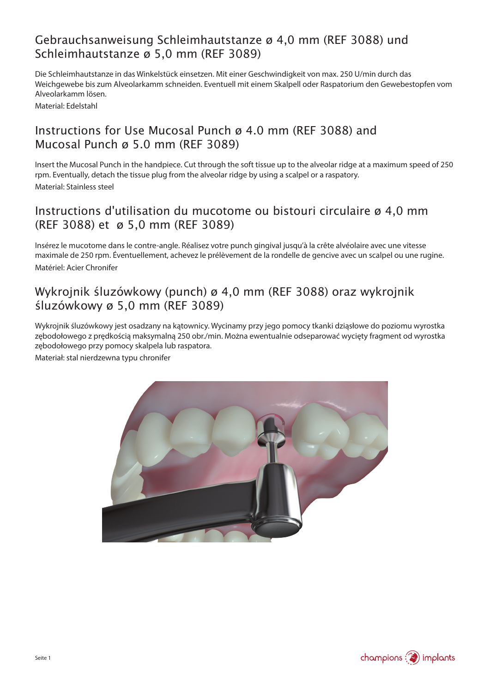# Gebrauchsanweisung Schleimhautstanze ø 4,0 mm (REF 3088) und Schleimhautstanze ø 5,0 mm (REF 3089)

Die Schleimhautstanze in das Winkelstück einsetzen. Mit einer Geschwindigkeit von max. 250 U/min durch das Weichgewebe bis zum Alveolarkamm schneiden. Eventuell mit einem Skalpell oder Raspatorium den Gewebestopfen vom Alveolarkamm lösen.

Material: Edelstahl

### Instructions for Use Mucosal Punch ø 4.0 mm (REF 3088) and Mucosal Punch ø 5.0 mm (REF 3089)

Insert the Mucosal Punch in the handpiece. Cut through the soft tissue up to the alveolar ridge at a maximum speed of 250 rpm. Eventually, detach the tissue plug from the alveolar ridge by using a scalpel or a raspatory. Material: Stainless steel

### Instructions d'utilisation du mucotome ou bistouri circulaire ø 4,0 mm (REF 3088) et ø 5,0 mm (REF 3089)

Insérez le mucotome dans le contre-angle. Réalisez votre punch gingival jusqu'à la crête alvéolaire avec une vitesse maximale de 250 rpm. Éventuellement, achevez le prélèvement de la rondelle de gencive avec un scalpel ou une rugine. Matériel: Acier Chronifer

# Wykrojnik śluzówkowy (punch) ø 4,0 mm (REF 3088) oraz wykrojnik śluzówkowy ø 5,0 mm (REF 3089)

Wykrojnik śluzówkowy jest osadzany na kątownicy. Wycinamy przy jego pomocy tkanki dziąsłowe do poziomu wyrostka zębodołowego z prędkością maksymalną 250 obr./min. Można ewentualnie odseparować wycięty fragment od wyrostka zębodołowego przy pomocy skalpela lub raspatora.

Materiał: stal nierdzewna typu chronifer